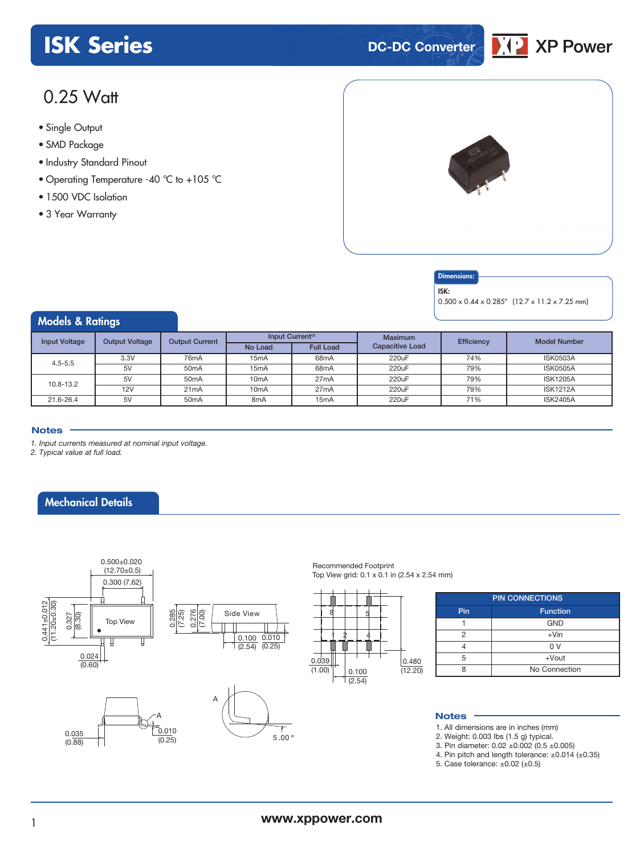# **ISK Series DC-DC** Converter



# 0.25 Watt

- **xxx Series** Single Output
- SMD Package
- Industry Standard Pinout
- Operating Temperature -40 °C to +105 °C
- 1500 VDC Isolation
- 3 Year Warranty



#### **Dimensions**

ISK:

0.500 x 0.44 x 0.285" (12.7 x 11.2 x 7.25 mm)

# Models & Ratings

| <b>Input Voltage</b> | <b>Output Voltage</b> | <b>Output Current</b> | Input Current <sup>(3)</sup> |                   | <b>Maximum</b>         | Efficiency | <b>Model Number</b> |
|----------------------|-----------------------|-----------------------|------------------------------|-------------------|------------------------|------------|---------------------|
|                      |                       |                       | No Load                      | <b>Full Load</b>  | <b>Capacitive Load</b> |            |                     |
| $4.5 - 5.5$          | 3.3V                  | 76 <sub>m</sub> A     | 15 <sub>m</sub> A            | 68 <sub>m</sub> A | 220uF                  | 74%        | ISK0503A            |
|                      | 5V                    | 50 <sub>m</sub> A     | 15 <sub>m</sub> A            | 68 <sub>m</sub> A | 220uF                  | 79%        | <b>ISK0505A</b>     |
| 10.8-13.2            | 5V                    | 50 <sub>m</sub> A     | 10 <sub>m</sub> A            | 27mA              | 220uF                  | 79%        | <b>ISK1205A</b>     |
|                      | <b>12V</b>            | 21mA                  | 10 <sub>m</sub> A            | 27mA              | 220uF                  | 79%        | <b>ISK1212A</b>     |
| 21.6-26.4            | 5V                    | 50 <sub>m</sub> A     | 8 <sub>m</sub> A             | 15 <sub>m</sub> A | 220uF                  | 71%        | <b>ISK2405A</b>     |

#### **Notes**

*1. Input currents measured at nominal input voltage.*

*2. Typical value at full load.*

### Mechanical Details









Recommended Footprint Top View grid: 0.1 x 0.1 in (2.54 x 2.54 mm)

| $\frac{0.039}{(1.00)}$ |  |  |                        |  |  | $\frac{0.480}{(12.20)}$ |
|------------------------|--|--|------------------------|--|--|-------------------------|
|                        |  |  |                        |  |  |                         |
|                        |  |  | $\frac{0.100}{(2.54)}$ |  |  |                         |

| <b>PIN CONNECTIONS</b> |               |  |  |  |  |  |  |
|------------------------|---------------|--|--|--|--|--|--|
| Pin<br><b>Function</b> |               |  |  |  |  |  |  |
|                        | <b>GND</b>    |  |  |  |  |  |  |
| 2                      | $+V$ in       |  |  |  |  |  |  |
|                        | 0 V           |  |  |  |  |  |  |
| 5                      | $+$ Vout      |  |  |  |  |  |  |
|                        | No Connection |  |  |  |  |  |  |

#### **Notes**

- 1. All dimensions are in inches (mm)
- 2. Weight: 0.003 lbs (1.5 g) typical.
- 3. Pin diameter: 0.02 ±0.002 (0.5 ±0.005)
	- 4. Pin pitch and length tolerance: ±0.014 (±0.35)
	- 5. Case tolerance: ±0.02 (±0.5)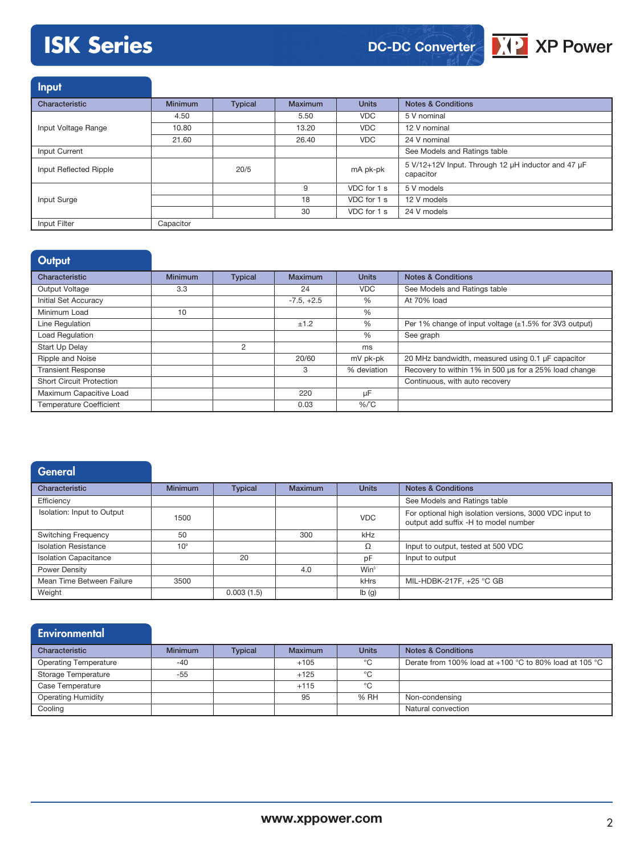# **ISK Series**





Input Characteristic Minimum Typical Maximum Units Notes & Conditions Input Voltage Range 4.50 **5.50 5 V nominal 5.50 5 V nominal** 10.80 13.20 VDC 12 V nominal 21.60 26.40 VDC 24 V nominal Input Current See Models and Ratings table Input Reflected Ripple 20/5 20/5 mA pk-pk 5 V/12+12V Input. Through 12 µH inductor and 47 µF capacitor Input Surge 9 VDC for 1 s 5 V models 18 VDC for 1 s 12 V models 30 VDC for 1 s 24 V models Input Filter Capacitor

| Output                          |                |                |                |              |                                                             |
|---------------------------------|----------------|----------------|----------------|--------------|-------------------------------------------------------------|
| Characteristic                  | <b>Minimum</b> | <b>Typical</b> | <b>Maximum</b> | <b>Units</b> | <b>Notes &amp; Conditions</b>                               |
| Output Voltage                  | 3.3            |                | 24             | <b>VDC</b>   | See Models and Ratings table                                |
| Initial Set Accuracy            |                |                | $-7.5, +2.5$   | %            | At 70% load                                                 |
| Minimum Load                    | 10             |                |                | %            |                                                             |
| Line Regulation                 |                |                | ±1.2           | %            | Per 1% change of input voltage $(\pm 1.5\%$ for 3V3 output) |
| <b>Load Regulation</b>          |                |                |                | $\%$         | See graph                                                   |
| Start Up Delay                  |                | 2              |                | ms           |                                                             |
| Ripple and Noise                |                |                | 20/60          | mV pk-pk     | 20 MHz bandwidth, measured using 0.1 µF capacitor           |
| <b>Transient Response</b>       |                |                | 3              | % deviation  | Recovery to within 1% in 500 us for a 25% load change       |
| <b>Short Circuit Protection</b> |                |                |                |              | Continuous, with auto recovery                              |
| Maximum Capacitive Load         |                |                | 220            | μF           |                                                             |
| <b>Temperature Coefficient</b>  |                |                | 0.03           | $%$ $C$      |                                                             |

| General                      |                 |                |                |              |                                                                                                 |
|------------------------------|-----------------|----------------|----------------|--------------|-------------------------------------------------------------------------------------------------|
| Characteristic               | <b>Minimum</b>  | <b>Typical</b> | <b>Maximum</b> | <b>Units</b> | <b>Notes &amp; Conditions</b>                                                                   |
| Efficiency                   |                 |                |                |              | See Models and Ratings table                                                                    |
| Isolation: Input to Output   | 1500            |                |                | <b>VDC</b>   | For optional high isolation versions, 3000 VDC input to<br>output add suffix -H to model number |
| <b>Switching Frequency</b>   | 50              |                | 300            | kHz          |                                                                                                 |
| <b>Isolation Resistance</b>  | 10 <sup>9</sup> |                |                | Ω            | Input to output, tested at 500 VDC                                                              |
| <b>Isolation Capacitance</b> |                 | 20             |                | pF           | Input to output                                                                                 |
| <b>Power Density</b>         |                 |                | 4.0            | $Win^3$      |                                                                                                 |
| Mean Time Between Failure    | 3500            |                |                | kHrs         | MIL-HDBK-217F, +25 °C GB                                                                        |
| Weight                       |                 | 0.003(1.5)     |                | Ib(g)        |                                                                                                 |

| <b>Environmental</b>         |                |                |         |              |                                                          |
|------------------------------|----------------|----------------|---------|--------------|----------------------------------------------------------|
| Characteristic               | <b>Minimum</b> | <b>Typical</b> | Maximum | <b>Units</b> | <b>Notes &amp; Conditions</b>                            |
| <b>Operating Temperature</b> | $-40$          |                | $+105$  | °C           | Derate from 100% load at $+100$ °C to 80% load at 105 °C |
| Storage Temperature          | $-55$          |                | $+125$  | °C           |                                                          |
| Case Temperature             |                |                | $+115$  | °C           |                                                          |
| <b>Operating Humidity</b>    |                |                | 95      | % RH         | Non-condensing                                           |
| Cooling                      |                |                |         |              | Natural convection                                       |